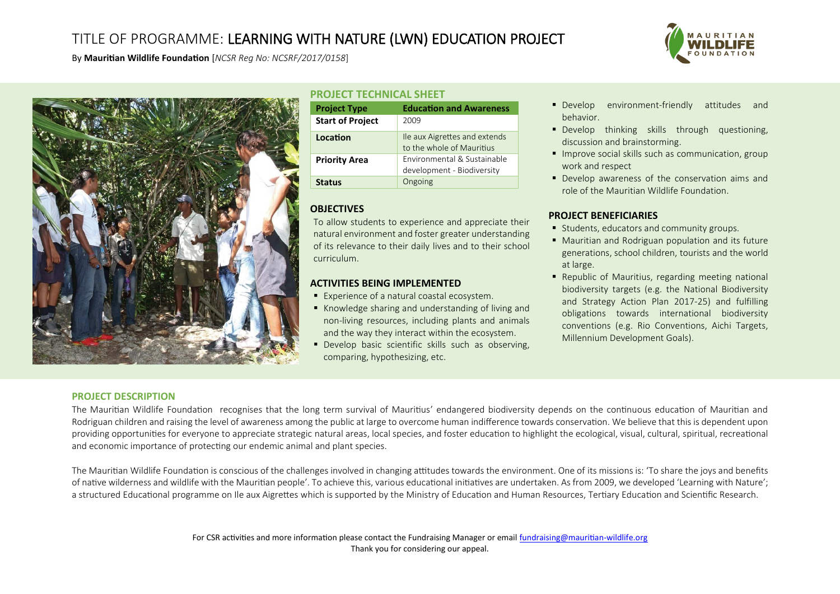# TITLE OF PROGRAMME: LEARNING WITH NATURE (LWN) EDUCATION PROJECT



By **Mauritian Wildlife Foundation** [*NCSR Reg No: NCSRF/2017/0158*]



### **PROJECT TECHNICAL SHEET**

| <b>Project Type</b>     | <b>Education and Awareness</b>                             |
|-------------------------|------------------------------------------------------------|
| <b>Start of Project</b> | 2009                                                       |
| Location                | Ile aux Aigrettes and extends<br>to the whole of Mauritius |
| <b>Priority Area</b>    | Environmental & Sustainable<br>development - Biodiversity  |
| Status                  | Ongoing                                                    |

## **OBJECTIVES**

To allow students to experience and appreciate their natural environment and foster greater understanding of its relevance to their daily lives and to their school curriculum.

## **ACTIVITIES BEING IMPLEMENTED**

- $\blacksquare$  Experience of a natural coastal ecosystem.
- Knowledge sharing and understanding of living and non-living resources, including plants and animals and the way they interact within the ecosystem.
- Develop basic scientific skills such as observing, comparing, hypothesizing, etc.
- **Develop** environment-friendly attitudes and behavior.
- **Develop thinking skills through questioning,** discussion and brainstorming.
- **Improve social skills such as communication, group** work and respect
- Develop awareness of the conservation aims and role of the Mauritian Wildlife Foundation.

## **PROJECT BENEFICIARIES**

- **Students, educators and community groups.**
- Mauritian and Rodriguan population and its future generations, school children, tourists and the world at large.
- Republic of Mauritius, regarding meeting national biodiversity targets (e.g. the National Biodiversity and Strategy Action Plan 2017-25) and fulfilling obligations towards international biodiversity conventions (e.g. Rio Conventions, Aichi Targets, Millennium Development Goals).

#### **PROJECT DESCRIPTION**

The Mauritian Wildlife Foundation recognises that the long term survival of Mauritius' endangered biodiversity depends on the continuous education of Mauritian and Rodriguan children and raising the level of awareness among the public at large to overcome human indifference towards conservation. We believe that this is dependent upon providing opportunities for everyone to appreciate strategic natural areas, local species, and foster education to highlight the ecological, visual, cultural, spiritual, recreational and economic importance of protecting our endemic animal and plant species.

The Mauritian Wildlife Foundation is conscious of the challenges involved in changing attitudes towards the environment. One of its missions is: 'To share the joys and benefits of native wilderness and wildlife with the Mauritian people'. To achieve this, various educational initiatives are undertaken. As from 2009, we developed 'Learning with Nature'; a structured Educational programme on Ile aux Aigrettes which is supported by the Ministry of Education and Human Resources, Tertiary Education and Scientific Research.